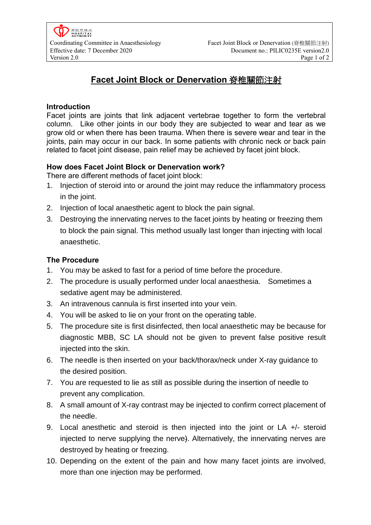# **Facet Joint Block or Denervation** 脊椎關節注射

## **Introduction**

Facet joints are joints that link adjacent vertebrae together to form the vertebral column. Like other joints in our body they are subjected to wear and tear as we grow old or when there has been trauma. When there is severe wear and tear in the joints, pain may occur in our back. In some patients with chronic neck or back pain related to facet joint disease, pain relief may be achieved by facet joint block.

## **How does Facet Joint Block or Denervation work?**

There are different methods of facet joint block:

- 1. Injection of steroid into or around the joint may reduce the inflammatory process in the joint.
- 2. Injection of local anaesthetic agent to block the pain signal.
- 3. Destroying the innervating nerves to the facet joints by heating or freezing them to block the pain signal. This method usually last longer than injecting with local anaesthetic.

## **The Procedure**

- 1. You may be asked to fast for a period of time before the procedure.
- 2. The procedure is usually performed under local anaesthesia. Sometimes a sedative agent may be administered.
- 3. An intravenous cannula is first inserted into your vein.
- 4. You will be asked to lie on your front on the operating table.
- 5. The procedure site is first disinfected, then local anaesthetic may be because for diagnostic MBB, SC LA should not be given to prevent false positive result injected into the skin.
- 6. The needle is then inserted on your back/thorax/neck under X-ray guidance to the desired position.
- 7. You are requested to lie as still as possible during the insertion of needle to prevent any complication.
- 8. A small amount of X-ray contrast may be injected to confirm correct placement of the needle.
- 9. Local anesthetic and steroid is then injected into the joint or LA +/- steroid injected to nerve supplying the nerve). Alternatively, the innervating nerves are destroyed by heating or freezing.
- 10. Depending on the extent of the pain and how many facet joints are involved, more than one injection may be performed.